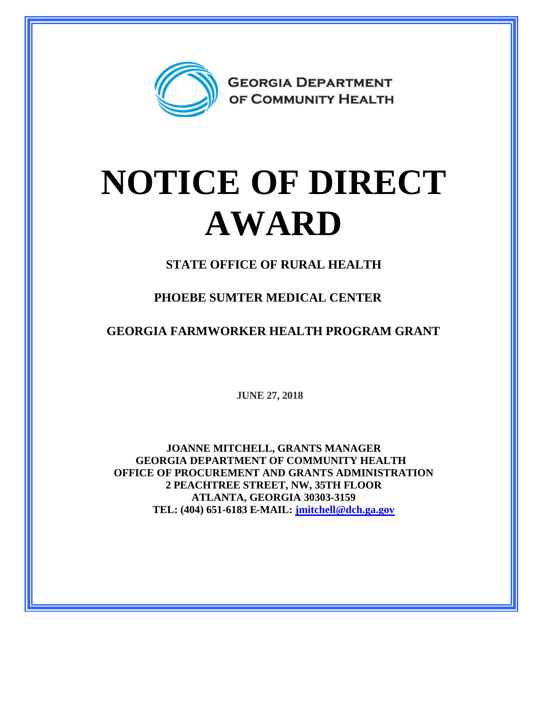

## **NOTICE OF DIRECT AWARD**

**STATE OFFICE OF RURAL HEALTH**

**PHOEBE SUMTER MEDICAL CENTER**

**GEORGIA FARMWORKER HEALTH PROGRAM GRANT**

**JUNE 27, 2018**

**JOANNE MITCHELL, GRANTS MANAGER GEORGIA DEPARTMENT OF COMMUNITY HEALTH OFFICE OF PROCUREMENT AND GRANTS ADMINISTRATION 2 PEACHTREE STREET, NW, 35TH FLOOR ATLANTA, GEORGIA 30303-3159 TEL: (404) 651-6183 E-MAIL: [jmitchell@dch.ga.gov](mailto:jmitchell@dch.ga.gov)**